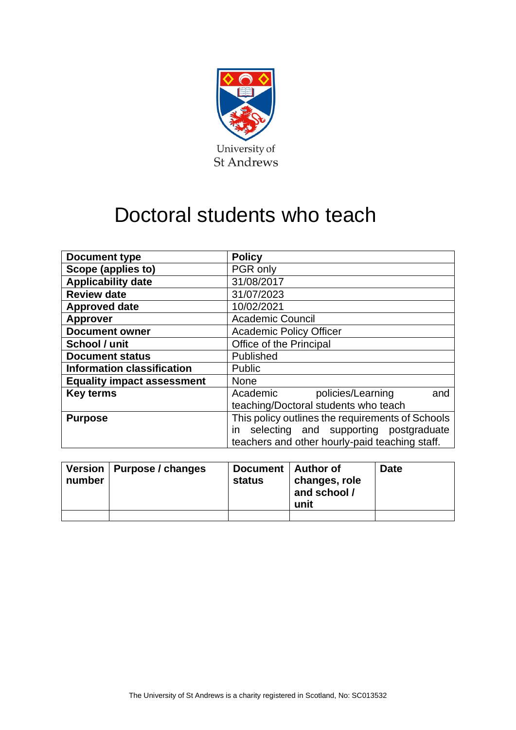

# Doctoral students who teach

| <b>Document type</b>              | <b>Policy</b>                                    |  |  |  |
|-----------------------------------|--------------------------------------------------|--|--|--|
| Scope (applies to)                | PGR only                                         |  |  |  |
| <b>Applicability date</b>         | 31/08/2017                                       |  |  |  |
| <b>Review date</b>                | 31/07/2023                                       |  |  |  |
| <b>Approved date</b>              | 10/02/2021                                       |  |  |  |
| <b>Approver</b>                   | <b>Academic Council</b>                          |  |  |  |
| <b>Document owner</b>             | <b>Academic Policy Officer</b>                   |  |  |  |
| School / unit                     | Office of the Principal                          |  |  |  |
| <b>Document status</b>            | Published                                        |  |  |  |
| <b>Information classification</b> | Public                                           |  |  |  |
| <b>Equality impact assessment</b> | None                                             |  |  |  |
| <b>Key terms</b>                  | Academic<br>policies/Learning<br>and             |  |  |  |
|                                   | teaching/Doctoral students who teach             |  |  |  |
| <b>Purpose</b>                    | This policy outlines the requirements of Schools |  |  |  |
|                                   | selecting and supporting postgraduate<br>in.     |  |  |  |
|                                   | teachers and other hourly-paid teaching staff.   |  |  |  |

| number | Version   Purpose / changes | Document   Author of<br>status | changes, role<br>and school /<br>unit | <b>Date</b> |
|--------|-----------------------------|--------------------------------|---------------------------------------|-------------|
|        |                             |                                |                                       |             |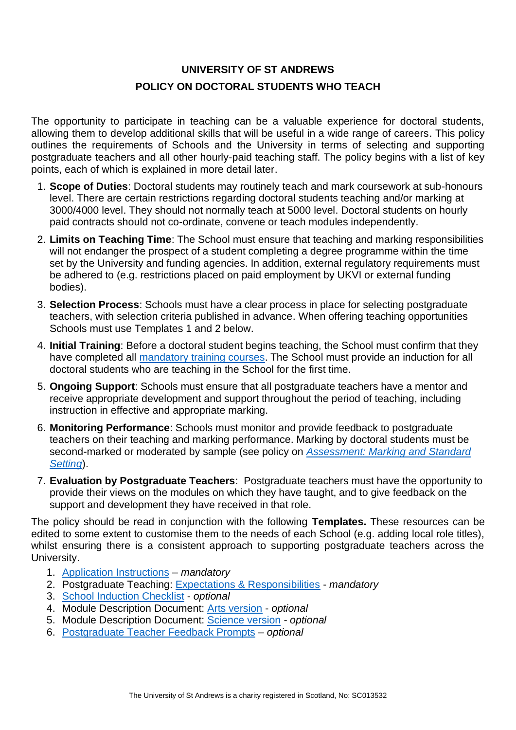# **UNIVERSITY OF ST ANDREWS POLICY ON DOCTORAL STUDENTS WHO TEACH**

The opportunity to participate in teaching can be a valuable experience for doctoral students, allowing them to develop additional skills that will be useful in a wide range of careers. This policy outlines the requirements of Schools and the University in terms of selecting and supporting postgraduate teachers and all other hourly-paid teaching staff. The policy begins with a list of key points, each of which is explained in more detail later.

- 1. **Scope of Duties**: Doctoral students may routinely teach and mark coursework at sub-honours level. There are certain restrictions regarding doctoral students teaching and/or marking at 3000/4000 level. They should not normally teach at 5000 level. Doctoral students on hourly paid contracts should not co-ordinate, convene or teach modules independently.
- 2. **Limits on Teaching Time**: The School must ensure that teaching and marking responsibilities will not endanger the prospect of a student completing a degree programme within the time set by the University and funding agencies. In addition, external regulatory requirements must be adhered to (e.g. restrictions placed on paid employment by UKVI or external funding bodies).
- 3. **Selection Process**: Schools must have a clear process in place for selecting postgraduate teachers, with selection criteria published in advance. When offering teaching opportunities Schools must use Templates 1 and 2 below.
- 4. **Initial Training**: Before a doctoral student begins teaching, the School must confirm that they have completed all [mandatory training courses.](https://www.st-andrews.ac.uk/ceed/research-postgraduates-teach/) The School must provide an induction for all doctoral students who are teaching in the School for the first time.
- 5. **Ongoing Support**: Schools must ensure that all postgraduate teachers have a mentor and receive appropriate development and support throughout the period of teaching, including instruction in effective and appropriate marking.
- 6. **Monitoring Performance**: Schools must monitor and provide feedback to postgraduate teachers on their teaching and marking performance. Marking by doctoral students must be second-marked or moderated by sample (see policy on *[Assessment: Marking and Standard](https://www.st-andrews.ac.uk/policy/academic-policies-assessment-examination-and-award/assessment-marking-and-standard-setting.pdf)  [Setting](https://www.st-andrews.ac.uk/policy/academic-policies-assessment-examination-and-award/assessment-marking-and-standard-setting.pdf)*).
- 7. **Evaluation by Postgraduate Teachers**: Postgraduate teachers must have the opportunity to provide their views on the modules on which they have taught, and to give feedback on the support and development they have received in that role.

The policy should be read in conjunction with the following **Templates.** These resources can be edited to some extent to customise them to the needs of each School (e.g. adding local role titles), whilst ensuring there is a consistent approach to supporting postgraduate teachers across the University.

- 1. [Application Instructions](https://www.st-andrews.ac.uk/assets/university/education/documents/strategies-and-policies/teaching-position-application.docx) *mandatory*
- 2. Postgraduate Teaching: [Expectations & Responsibilities](https://www.st-andrews.ac.uk/assets/university/education/documents/strategies-and-policies/expectations-responsibilities.docx) *mandatory*
- 3. [School Induction Checklist](https://www.st-andrews.ac.uk/assets/university/education/documents/strategies-and-policies/school-induction-checklist.docx) *optional*
- 4. Module Description Document: [Arts version](https://www.st-andrews.ac.uk/assets/university/education/documents/strategies-and-policies/arts-module-description.docx) *optional*
- 5. Module Description Document: [Science version](https://www.st-andrews.ac.uk/assets/university/education/documents/strategies-and-policies/science-module-description.docx) *- optional*
- 6. [Postgraduate Teacher Feedback Prompts](https://www.st-andrews.ac.uk/assets/university/education/documents/strategies-and-policies/teaching-feedback-prompts.docx) *– optional*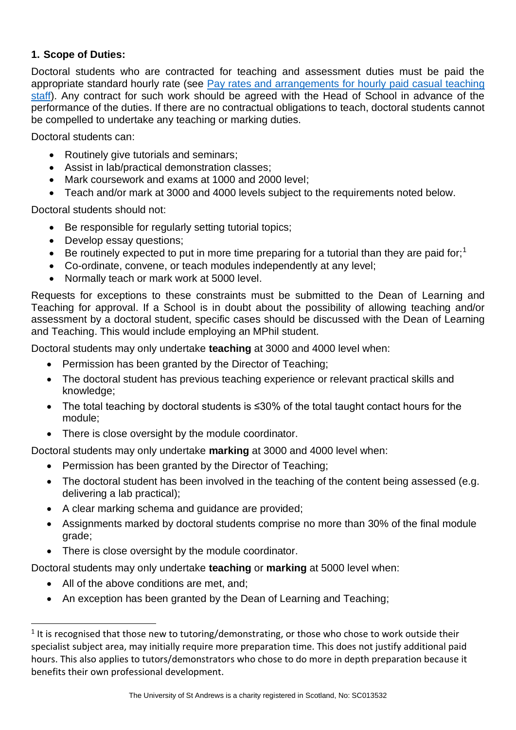#### **1. Scope of Duties:**

Doctoral students who are contracted for teaching and assessment duties must be paid the appropriate standard hourly rate (see [Pay rates and arrangements for hourly paid casual teaching](http://www.st-andrews.ac.uk/staff/policy/hr/hourlypaidcasualteachingstaff/)  [staff\)](http://www.st-andrews.ac.uk/staff/policy/hr/hourlypaidcasualteachingstaff/). Any contract for such work should be agreed with the Head of School in advance of the performance of the duties. If there are no contractual obligations to teach, doctoral students cannot be compelled to undertake any teaching or marking duties.

Doctoral students can:

- Routinely give tutorials and seminars;
- Assist in lab/practical demonstration classes;
- Mark coursework and exams at 1000 and 2000 level;
- Teach and/or mark at 3000 and 4000 levels subject to the requirements noted below.

Doctoral students should not:

- Be responsible for regularly setting tutorial topics;
- Develop essay questions;
- Be routinely expected to put in more time preparing for a tutorial than they are paid for;<sup>1</sup>
- Co-ordinate, convene, or teach modules independently at any level;
- Normally teach or mark work at 5000 level.

Requests for exceptions to these constraints must be submitted to the Dean of Learning and Teaching for approval. If a School is in doubt about the possibility of allowing teaching and/or assessment by a doctoral student, specific cases should be discussed with the Dean of Learning and Teaching. This would include employing an MPhil student.

Doctoral students may only undertake **teaching** at 3000 and 4000 level when:

- Permission has been granted by the Director of Teaching;
- The doctoral student has previous teaching experience or relevant practical skills and knowledge;
- The total teaching by doctoral students is ≤30% of the total taught contact hours for the module;
- There is close oversight by the module coordinator.

Doctoral students may only undertake **marking** at 3000 and 4000 level when:

- Permission has been granted by the Director of Teaching;
- The doctoral student has been involved in the teaching of the content being assessed (e.g. delivering a lab practical);
- A clear marking schema and guidance are provided;
- Assignments marked by doctoral students comprise no more than 30% of the final module grade;
- There is close oversight by the module coordinator.

Doctoral students may only undertake **teaching** or **marking** at 5000 level when:

- All of the above conditions are met, and;
- An exception has been granted by the Dean of Learning and Teaching;

 $<sup>1</sup>$  It is recognised that those new to tutoring/demonstrating, or those who chose to work outside their</sup> specialist subject area, may initially require more preparation time. This does not justify additional paid hours. This also applies to tutors/demonstrators who chose to do more in depth preparation because it benefits their own professional development.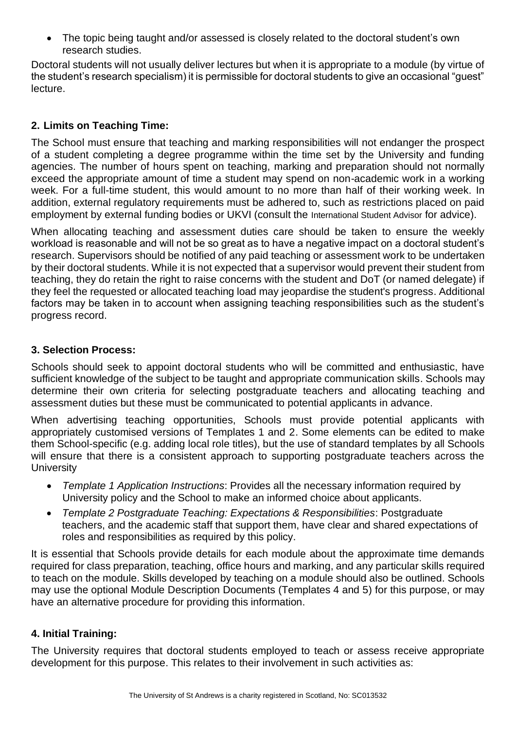• The topic being taught and/or assessed is closely related to the doctoral student's own research studies.

Doctoral students will not usually deliver lectures but when it is appropriate to a module (by virtue of the student's research specialism) it is permissible for doctoral students to give an occasional "guest" lecture.

# **2. Limits on Teaching Time:**

The School must ensure that teaching and marking responsibilities will not endanger the prospect of a student completing a degree programme within the time set by the University and funding agencies. The number of hours spent on teaching, marking and preparation should not normally exceed the appropriate amount of time a student may spend on non-academic work in a working week. For a full-time student, this would amount to no more than half of their working week. In addition, external regulatory requirements must be adhered to, such as restrictions placed on paid employment by external funding bodies or UKVI (consult the [International Student Advisor](mailto:emailto:advint@st-andrews.ac.uk) for advice).

When allocating teaching and assessment duties care should be taken to ensure the weekly workload is reasonable and will not be so great as to have a negative impact on a doctoral student's research. Supervisors should be notified of any paid teaching or assessment work to be undertaken by their doctoral students. While it is not expected that a supervisor would prevent their student from teaching, they do retain the right to raise concerns with the student and DoT (or named delegate) if they feel the requested or allocated teaching load may jeopardise the student's progress. Additional factors may be taken in to account when assigning teaching responsibilities such as the student's progress record.

#### **3. Selection Process:**

Schools should seek to appoint doctoral students who will be committed and enthusiastic, have sufficient knowledge of the subject to be taught and appropriate communication skills. Schools may determine their own criteria for selecting postgraduate teachers and allocating teaching and assessment duties but these must be communicated to potential applicants in advance.

When advertising teaching opportunities, Schools must provide potential applicants with appropriately customised versions of Templates 1 and 2. Some elements can be edited to make them School-specific (e.g. adding local role titles), but the use of standard templates by all Schools will ensure that there is a consistent approach to supporting postgraduate teachers across the **University** 

- *Template 1 Application Instructions*: Provides all the necessary information required by University policy and the School to make an informed choice about applicants.
- *Template 2 Postgraduate Teaching: Expectations & Responsibilities*: Postgraduate teachers, and the academic staff that support them, have clear and shared expectations of roles and responsibilities as required by this policy.

It is essential that Schools provide details for each module about the approximate time demands required for class preparation, teaching, office hours and marking, and any particular skills required to teach on the module. Skills developed by teaching on a module should also be outlined. Schools may use the optional Module Description Documents (Templates 4 and 5) for this purpose, or may have an alternative procedure for providing this information.

### **4. Initial Training:**

The University requires that doctoral students employed to teach or assess receive appropriate development for this purpose. This relates to their involvement in such activities as: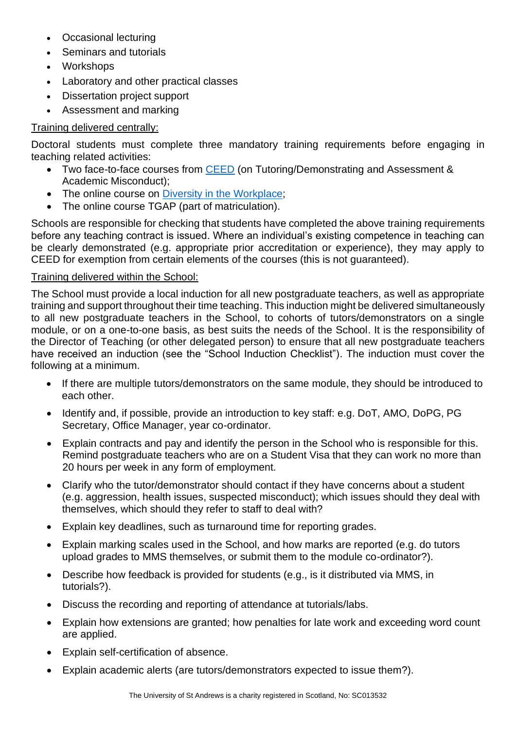- Occasional lecturing
- Seminars and tutorials
- Workshops
- Laboratory and other practical classes
- Dissertation project support
- Assessment and marking

# Training delivered centrally:

Doctoral students must complete three mandatory training requirements before engaging in teaching related activities:

- Two face-to-face courses from [CEED](https://www.st-andrews.ac.uk/ceed/research-postgraduates-teach/) (on Tutoring/Demonstrating and Assessment & Academic Misconduct);
- The online course on [Diversity in the Workplace;](http://www.st-andrews.ac.uk/hr/edi/training/staffonline/)
- The online course TGAP (part of matriculation).

Schools are responsible for checking that students have completed the above training requirements before any teaching contract is issued. Where an individual's existing competence in teaching can be clearly demonstrated (e.g. appropriate prior accreditation or experience), they may apply to CEED for exemption from certain elements of the courses (this is not guaranteed).

### Training delivered within the School:

The School must provide a local induction for all new postgraduate teachers, as well as appropriate training and support throughout their time teaching. This induction might be delivered simultaneously to all new postgraduate teachers in the School, to cohorts of tutors/demonstrators on a single module, or on a one-to-one basis, as best suits the needs of the School. It is the responsibility of the Director of Teaching (or other delegated person) to ensure that all new postgraduate teachers have received an induction (see the "School Induction Checklist"). The induction must cover the following at a minimum.

- If there are multiple tutors/demonstrators on the same module, they should be introduced to each other.
- Identify and, if possible, provide an introduction to key staff: e.g. DoT, AMO, DoPG, PG Secretary, Office Manager, year co-ordinator.
- Explain contracts and pay and identify the person in the School who is responsible for this. Remind postgraduate teachers who are on a Student Visa that they can work no more than 20 hours per week in any form of employment.
- Clarify who the tutor/demonstrator should contact if they have concerns about a student (e.g. aggression, health issues, suspected misconduct); which issues should they deal with themselves, which should they refer to staff to deal with?
- Explain key deadlines, such as turnaround time for reporting grades.
- Explain marking scales used in the School, and how marks are reported (e.g. do tutors upload grades to MMS themselves, or submit them to the module co-ordinator?).
- Describe how feedback is provided for students (e.g., is it distributed via MMS, in tutorials?).
- Discuss the recording and reporting of attendance at tutorials/labs.
- Explain how extensions are granted; how penalties for late work and exceeding word count are applied.
- Explain self-certification of absence.
- Explain academic alerts (are tutors/demonstrators expected to issue them?).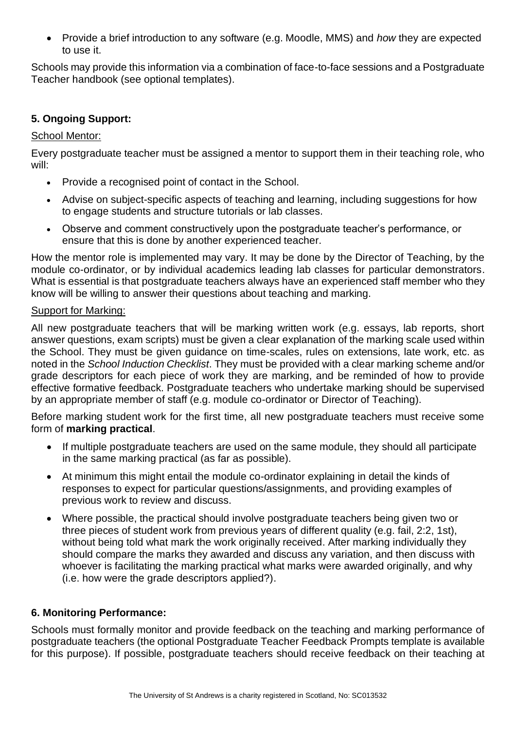• Provide a brief introduction to any software (e.g. Moodle, MMS) and *how* they are expected to use it.

Schools may provide this information via a combination of face-to-face sessions and a Postgraduate Teacher handbook (see optional templates).

#### **5. Ongoing Support:**

#### School Mentor:

Every postgraduate teacher must be assigned a mentor to support them in their teaching role, who will:

- Provide a recognised point of contact in the School.
- Advise on subject-specific aspects of teaching and learning, including suggestions for how to engage students and structure tutorials or lab classes.
- Observe and comment constructively upon the postgraduate teacher's performance, or ensure that this is done by another experienced teacher.

How the mentor role is implemented may vary. It may be done by the Director of Teaching, by the module co-ordinator, or by individual academics leading lab classes for particular demonstrators. What is essential is that postgraduate teachers always have an experienced staff member who they know will be willing to answer their questions about teaching and marking.

#### Support for Marking:

All new postgraduate teachers that will be marking written work (e.g. essays, lab reports, short answer questions, exam scripts) must be given a clear explanation of the marking scale used within the School. They must be given guidance on time-scales, rules on extensions, late work, etc. as noted in the *School Induction Checklist*. They must be provided with a clear marking scheme and/or grade descriptors for each piece of work they are marking, and be reminded of how to provide effective formative feedback. Postgraduate teachers who undertake marking should be supervised by an appropriate member of staff (e.g. module co-ordinator or Director of Teaching).

Before marking student work for the first time, all new postgraduate teachers must receive some form of **marking practical**.

- If multiple postgraduate teachers are used on the same module, they should all participate in the same marking practical (as far as possible).
- At minimum this might entail the module co-ordinator explaining in detail the kinds of responses to expect for particular questions/assignments, and providing examples of previous work to review and discuss.
- Where possible, the practical should involve postgraduate teachers being given two or three pieces of student work from previous years of different quality (e.g. fail, 2:2, 1st), without being told what mark the work originally received. After marking individually they should compare the marks they awarded and discuss any variation, and then discuss with whoever is facilitating the marking practical what marks were awarded originally, and why (i.e. how were the grade descriptors applied?).

#### **6. Monitoring Performance:**

Schools must formally monitor and provide feedback on the teaching and marking performance of postgraduate teachers (the optional Postgraduate Teacher Feedback Prompts template is available for this purpose). If possible, postgraduate teachers should receive feedback on their teaching at